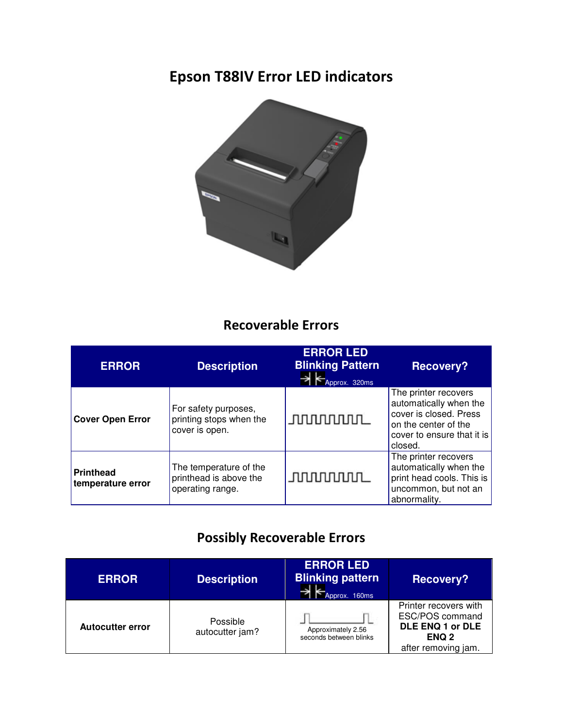## Epson T88IV Error LED indicators



## Recoverable Errors

| <b>ERROR</b>                          | <b>Description</b>                                                   | <b>ERROR LED</b><br><b>Blinking Pattern</b><br>Approx. 320ms | <b>Recovery?</b>                                                                                                                          |
|---------------------------------------|----------------------------------------------------------------------|--------------------------------------------------------------|-------------------------------------------------------------------------------------------------------------------------------------------|
| <b>Cover Open Error</b>               | For safety purposes,<br>printing stops when the<br>cover is open.    | <b>JUUUUUUUL</b>                                             | The printer recovers<br>automatically when the<br>cover is closed. Press<br>on the center of the<br>cover to ensure that it is<br>closed. |
| <b>Printhead</b><br>temperature error | The temperature of the<br>printhead is above the<br>operating range. | <b>JUUUUUUUL</b>                                             | The printer recovers<br>automatically when the<br>print head cools. This is<br>uncommon, but not an<br>abnormality.                       |

## Possibly Recoverable Errors

| <b>ERROR</b>            | <b>Description</b>          | <b>ERROR LED</b><br><b>Blinking pattern</b><br>Approx. 160ms | <b>Recovery?</b>                                                                                        |
|-------------------------|-----------------------------|--------------------------------------------------------------|---------------------------------------------------------------------------------------------------------|
| <b>Autocutter error</b> | Possible<br>autocutter jam? | Approximately 2.56<br>seconds between blinks                 | Printer recovers with<br>ESC/POS command<br>DLE ENQ 1 or DLE<br>ENQ <sub>2</sub><br>after removing jam. |